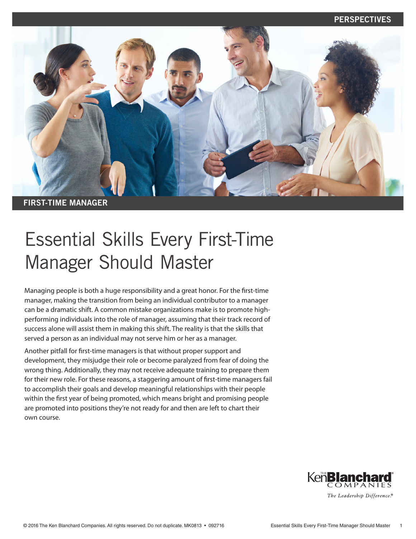

# Essential Skills Every First-Time Manager Should Master

Managing people is both a huge responsibility and a great honor. For the first-time manager, making the transition from being an individual contributor to a manager can be a dramatic shift. A common mistake organizations make is to promote highperforming individuals into the role of manager, assuming that their track record of success alone will assist them in making this shift. The reality is that the skills that served a person as an individual may not serve him or her as a manager.

Another pitfall for first-time managers is that without proper support and development, they misjudge their role or become paralyzed from fear of doing the wrong thing. Additionally, they may not receive adequate training to prepare them for their new role. For these reasons, a staggering amount of first-time managers fail to accomplish their goals and develop meaningful relationships with their people within the first year of being promoted, which means bright and promising people are promoted into positions they're not ready for and then are left to chart their own course.

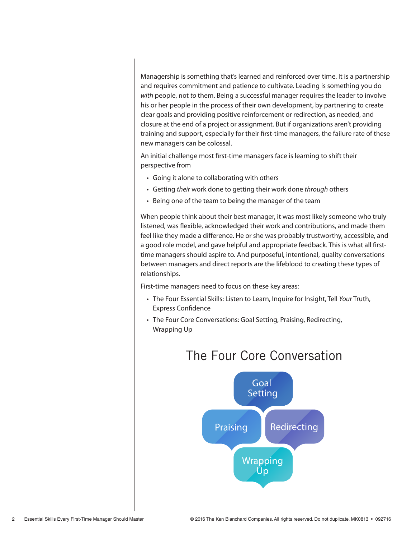Managership is something that's learned and reinforced over time. It is a partnership and requires commitment and patience to cultivate. Leading is something you do *with* people, not *to* them. Being a successful manager requires the leader to involve his or her people in the process of their own development, by partnering to create clear goals and providing positive reinforcement or redirection, as needed, and closure at the end of a project or assignment. But if organizations aren't providing training and support, especially for their first-time managers, the failure rate of these new managers can be colossal.

An initial challenge most first-time managers face is learning to shift their perspective from

- Going it alone to collaborating with others
- Getting *their* work done to getting their work done *through* others
- Being one of the team to being the manager of the team

When people think about their best manager, it was most likely someone who truly listened, was flexible, acknowledged their work and contributions, and made them feel like they made a difference. He or she was probably trustworthy, accessible, and a good role model, and gave helpful and appropriate feedback. This is what all firsttime managers should aspire to. And purposeful, intentional, quality conversations between managers and direct reports are the lifeblood to creating these types of relationships.

First-time managers need to focus on these key areas:

- The Four Essential Skills: Listen to Learn, Inquire for Insight, Tell *Your* Truth, Express Confidence
- The Four Core Conversations: Goal Setting, Praising, Redirecting, Wrapping Up



# The Four Core Conversation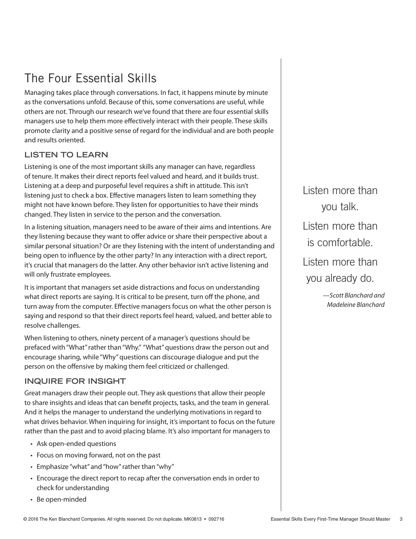# The Four Essential Skills

Managing takes place through conversations. In fact, it happens minute by minute as the conversations unfold. Because of this, some conversations are useful, while others are not. Through our research we've found that there are four essential skills managers use to help them more effectively interact with their people. These skills promote clarity and a positive sense of regard for the individual and are both people and results oriented.

### **LISTEN TO LEARN**

Listening is one of the most important skills any manager can have, regardless of tenure. It makes their direct reports feel valued and heard, and it builds trust. Listening at a deep and purposeful level requires a shift in attitude. This isn't listening just to check a box. Effective managers listen to learn something they might not have known before. They listen for opportunities to have their minds changed. They listen in service to the person and the conversation.

In a listening situation, managers need to be aware of their aims and intentions. Are they listening because they want to offer advice or share their perspective about a similar personal situation? Or are they listening with the intent of understanding and being open to influence by the other party? In any interaction with a direct report, it's crucial that managers do the latter. Any other behavior isn't active listening and will only frustrate employees.

It is important that managers set aside distractions and focus on understanding what direct reports are saying. It is critical to be present, turn off the phone, and turn away from the computer. Effective managers focus on what the other person is saying and respond so that their direct reports feel heard, valued, and better able to resolve challenges.

When listening to others, ninety percent of a manager's questions should be prefaced with "What" rather than "Why." "What" questions draw the person out and encourage sharing, while "Why" questions can discourage dialogue and put the person on the offensive by making them feel criticized or challenged.

#### **INQUIRE FOR INSIGHT**

Great managers draw their people out. They ask questions that allow their people to share insights and ideas that can benefit projects, tasks, and the team in general. And it helps the manager to understand the underlying motivations in regard to what drives behavior. When inquiring for insight, it's important to focus on the future rather than the past and to avoid placing blame. It's also important for managers to

- Ask open-ended questions
- Focus on moving forward, not on the past
- Emphasize "what" and "how" rather than "why"
- Encourage the direct report to recap after the conversation ends in order to check for understanding
- Be open-minded

Listen more than you talk. Listen more than is comfortable. Listen more than you already do.

> *—Scott Blanchard and Madeleine Blanchard*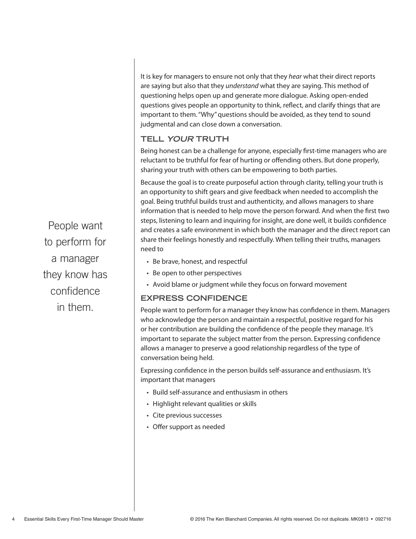It is key for managers to ensure not only that they *hear* what their direct reports are saying but also that they *understand* what they are saying. This method of questioning helps open up and generate more dialogue. Asking open-ended questions gives people an opportunity to think, reflect, and clarify things that are important to them. "Why" questions should be avoided, as they tend to sound judgmental and can close down a conversation.

## **TELL YOUR TRUTH**

Being honest can be a challenge for anyone, especially first-time managers who are reluctant to be truthful for fear of hurting or offending others. But done properly, sharing your truth with others can be empowering to both parties.

Because the goal is to create purposeful action through clarity, telling your truth is an opportunity to shift gears and give feedback when needed to accomplish the goal. Being truthful builds trust and authenticity, and allows managers to share information that is needed to help move the person forward. And when the first two steps, listening to learn and inquiring for insight, are done well, it builds confidence and creates a safe environment in which both the manager and the direct report can share their feelings honestly and respectfully. When telling their truths, managers need to

- Be brave, honest, and respectful
- Be open to other perspectives
- Avoid blame or judgment while they focus on forward movement

### **EXPRESS CONFIDENCE**

People want to perform for a manager they know has confidence in them. Managers who acknowledge the person and maintain a respectful, positive regard for his or her contribution are building the confidence of the people they manage. It's important to separate the subject matter from the person. Expressing confidence allows a manager to preserve a good relationship regardless of the type of conversation being held.

Expressing confidence in the person builds self-assurance and enthusiasm. It's important that managers

- Build self-assurance and enthusiasm in others
- Highlight relevant qualities or skills
- Cite previous successes
- Offer support as needed

People want to perform for a manager they know has confidence in them.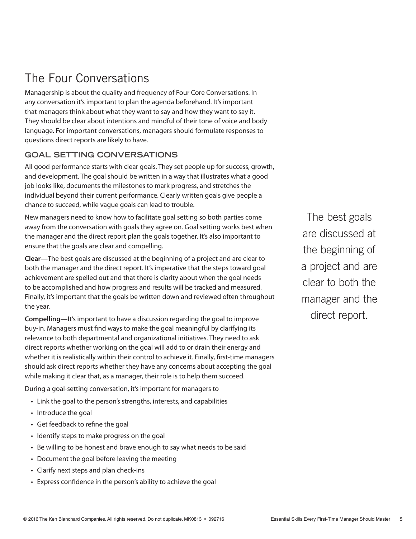# The Four Conversations

Managership is about the quality and frequency of Four Core Conversations. In any conversation it's important to plan the agenda beforehand. It's important that managers think about what they want to say and how they want to say it. They should be clear about intentions and mindful of their tone of voice and body language. For important conversations, managers should formulate responses to questions direct reports are likely to have.

### **GOAL SETTING CONVERSATIONS**

All good performance starts with clear goals. They set people up for success, growth, and development. The goal should be written in a way that illustrates what a good job looks like, documents the milestones to mark progress, and stretches the individual beyond their current performance. Clearly written goals give people a chance to succeed, while vague goals can lead to trouble.

New managers need to know how to facilitate goal setting so both parties come away from the conversation with goals they agree on. Goal setting works best when the manager and the direct report plan the goals together. It's also important to ensure that the goals are clear and compelling.

**Clear—**The best goals are discussed at the beginning of a project and are clear to both the manager and the direct report. It's imperative that the steps toward goal achievement are spelled out and that there is clarity about when the goal needs to be accomplished and how progress and results will be tracked and measured. Finally, it's important that the goals be written down and reviewed often throughout the year.

**Compelling—**It's important to have a discussion regarding the goal to improve buy-in. Managers must find ways to make the goal meaningful by clarifying its relevance to both departmental and organizational initiatives. They need to ask direct reports whether working on the goal will add to or drain their energy and whether it is realistically within their control to achieve it. Finally, first-time managers should ask direct reports whether they have any concerns about accepting the goal while making it clear that, as a manager, their role is to help them succeed.

During a goal-setting conversation, it's important for managers to

- Link the goal to the person's strengths, interests, and capabilities
- Introduce the goal
- Get feedback to refine the goal
- Identify steps to make progress on the goal
- Be willing to be honest and brave enough to say what needs to be said
- Document the goal before leaving the meeting
- Clarify next steps and plan check-ins
- Express confidence in the person's ability to achieve the goal

The best goals are discussed at the beginning of a project and are clear to both the manager and the direct report.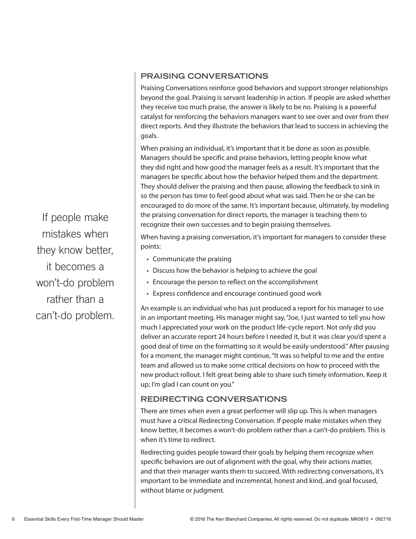### **PRAISING CONVERSATIONS**

Praising Conversations reinforce good behaviors and support stronger relationships beyond the goal. Praising is servant leadership in action. If people are asked whether they receive too much praise, the answer is likely to be no. Praising is a powerful catalyst for reinforcing the behaviors managers want to see over and over from their direct reports. And they illustrate the behaviors that lead to success in achieving the goals.

When praising an individual, it's important that it be done as soon as possible. Managers should be specific and praise behaviors, letting people know what they did right and how good the manager feels as a result. It's important that the managers be specific about how the behavior helped them and the department. They should deliver the praising and then pause, allowing the feedback to sink in so the person has time to feel good about what was said. Then he or she can be encouraged to do more of the same. It's important because, ultimately, by modeling the praising conversation for direct reports, the manager is teaching them to recognize their own successes and to begin praising themselves.

When having a praising conversation, it's important for managers to consider these points:

- Communicate the praising
- Discuss how the behavior is helping to achieve the goal
- Encourage the person to reflect on the accomplishment
- Express confidence and encourage continued good work

An example is an individual who has just produced a report for his manager to use in an important meeting. His manager might say, "Joe, I just wanted to tell you how much I appreciated your work on the product life-cycle report. Not only did you deliver an accurate report 24 hours before I needed it, but it was clear you'd spent a good deal of time on the formatting so it would be easily understood." After pausing for a moment, the manager might continue, "It was so helpful to me and the entire team and allowed us to make some critical decisions on how to proceed with the new product rollout. I felt great being able to share such timely information. Keep it up; I'm glad I can count on you."

#### **REDIRECTING CONVERSATIONS**

There are times when even a great performer will slip up. This is when managers must have a critical Redirecting Conversation. If people make mistakes when they know better, it becomes a won't-do problem rather than a can't-do problem. This is when it's time to redirect.

Redirecting guides people toward their goals by helping them recognize when specific behaviors are out of alignment with the goal, why their actions matter, and that their manager wants them to succeed. With redirecting conversations, it's important to be immediate and incremental, honest and kind, and goal focused, without blame or judgment.

If people make mistakes when they know better, it becomes a won't-do problem rather than a can't-do problem.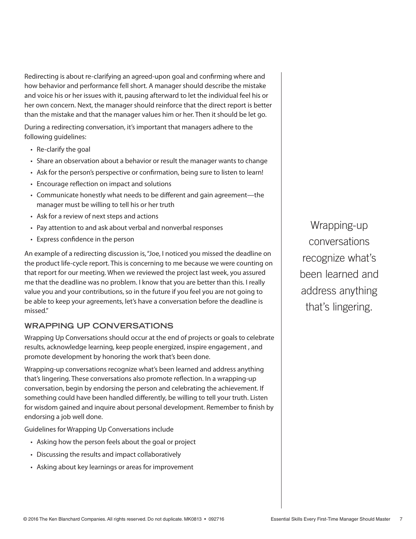Redirecting is about re-clarifying an agreed-upon goal and confirming where and how behavior and performance fell short. A manager should describe the mistake and voice his or her issues with it, pausing afterward to let the individual feel his or her own concern. Next, the manager should reinforce that the direct report is better than the mistake and that the manager values him or her. Then it should be let go.

During a redirecting conversation, it's important that managers adhere to the following guidelines:

- Re-clarify the goal
- Share an observation about a behavior or result the manager wants to change
- Ask for the person's perspective or confirmation, being sure to listen to learn!
- Encourage reflection on impact and solutions
- Communicate honestly what needs to be different and gain agreement—the manager must be willing to tell his or her truth
- Ask for a review of next steps and actions
- Pay attention to and ask about verbal and nonverbal responses
- Express confidence in the person

An example of a redirecting discussion is, "Joe, I noticed you missed the deadline on the product life-cycle report. This is concerning to me because we were counting on that report for our meeting. When we reviewed the project last week, you assured me that the deadline was no problem. I know that you are better than this. I really value you and your contributions, so in the future if you feel you are not going to be able to keep your agreements, let's have a conversation before the deadline is missed."

#### **WRAPPING UP CONVERSATIONS**

Wrapping Up Conversations should occur at the end of projects or goals to celebrate results, acknowledge learning, keep people energized, inspire engagement , and promote development by honoring the work that's been done.

Wrapping-up conversations recognize what's been learned and address anything that's lingering. These conversations also promote reflection. In a wrapping-up conversation, begin by endorsing the person and celebrating the achievement. If something could have been handled differently, be willing to tell your truth. Listen for wisdom gained and inquire about personal development. Remember to finish by endorsing a job well done.

Guidelines for Wrapping Up Conversations include

- Asking how the person feels about the goal or project
- Discussing the results and impact collaboratively
- Asking about key learnings or areas for improvement

Wrapping-up conversations recognize what's been learned and address anything that's lingering.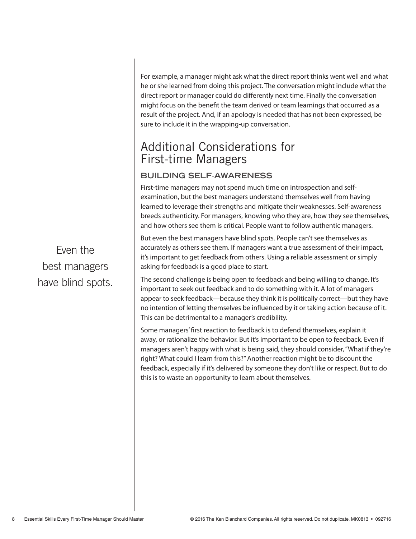For example, a manager might ask what the direct report thinks went well and what he or she learned from doing this project. The conversation might include what the direct report or manager could do differently next time. Finally the conversation might focus on the benefit the team derived or team learnings that occurred as a result of the project. And, if an apology is needed that has not been expressed, be sure to include it in the wrapping-up conversation.

# Additional Considerations for First-time Managers

### **BUILDING SELF-AWARENESS**

First-time managers may not spend much time on introspection and selfexamination, but the best managers understand themselves well from having learned to leverage their strengths and mitigate their weaknesses. Self-awareness breeds authenticity. For managers, knowing who they are, how they see themselves, and how others see them is critical. People want to follow authentic managers.

But even the best managers have blind spots. People can't see themselves as accurately as others see them. If managers want a true assessment of their impact, it's important to get feedback from others. Using a reliable assessment or simply asking for feedback is a good place to start.

The second challenge is being open to feedback and being willing to change. It's important to seek out feedback and to do something with it. A lot of managers appear to seek feedback—because they think it is politically correct—but they have no intention of letting themselves be influenced by it or taking action because of it. This can be detrimental to a manager's credibility.

Some managers' first reaction to feedback is to defend themselves, explain it away, or rationalize the behavior. But it's important to be open to feedback. Even if managers aren't happy with what is being said, they should consider, "What if they're right? What could I learn from this?" Another reaction might be to discount the feedback, especially if it's delivered by someone they don't like or respect. But to do this is to waste an opportunity to learn about themselves.

Even the best managers have blind spots.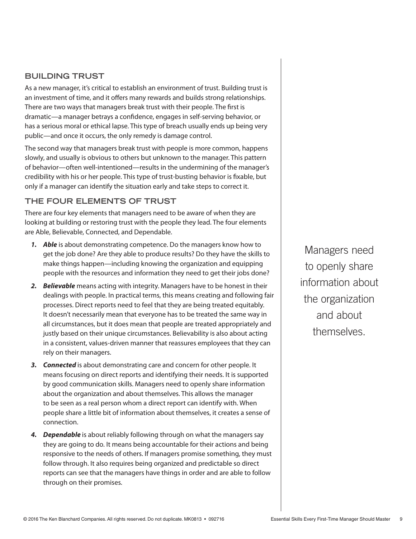#### **BUILDING TRUST**

As a new manager, it's critical to establish an environment of trust. Building trust is an investment of time, and it offers many rewards and builds strong relationships. There are two ways that managers break trust with their people. The first is dramatic—a manager betrays a confidence, engages in self-serving behavior, or has a serious moral or ethical lapse. This type of breach usually ends up being very public—and once it occurs, the only remedy is damage control.

The second way that managers break trust with people is more common, happens slowly, and usually is obvious to others but unknown to the manager. This pattern of behavior—often well-intentioned—results in the undermining of the manager's credibility with his or her people. This type of trust-busting behavior is fixable, but only if a manager can identify the situation early and take steps to correct it.

#### **THE FOUR ELEMENTS OF TRUST**

There are four key elements that managers need to be aware of when they are looking at building or restoring trust with the people they lead. The four elements are Able, Believable, Connected, and Dependable.

- *1. Able* is about demonstrating competence. Do the managers know how to get the job done? Are they able to produce results? Do they have the skills to make things happen—including knowing the organization and equipping people with the resources and information they need to get their jobs done?
- *2. Believable* means acting with integrity. Managers have to be honest in their dealings with people. In practical terms, this means creating and following fair processes. Direct reports need to feel that they are being treated equitably. It doesn't necessarily mean that everyone has to be treated the same way in all circumstances, but it does mean that people are treated appropriately and justly based on their unique circumstances. Believability is also about acting in a consistent, values-driven manner that reassures employees that they can rely on their managers.
- *3. Connected* is about demonstrating care and concern for other people. It means focusing on direct reports and identifying their needs. It is supported by good communication skills. Managers need to openly share information about the organization and about themselves. This allows the manager to be seen as a real person whom a direct report can identify with. When people share a little bit of information about themselves, it creates a sense of connection.
- **4. Dependable** is about reliably following through on what the managers say they are going to do. It means being accountable for their actions and being responsive to the needs of others. If managers promise something, they must follow through. It also requires being organized and predictable so direct reports can see that the managers have things in order and are able to follow through on their promises.

Managers need to openly share information about the organization and about themselves.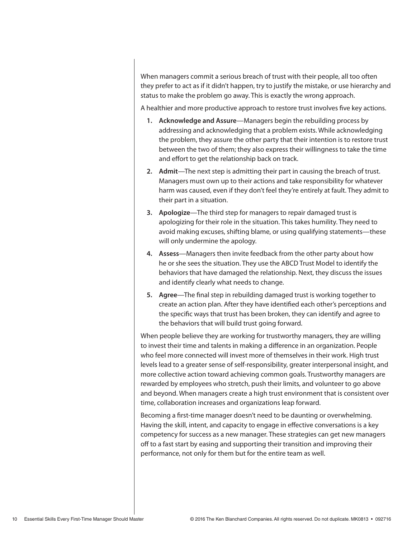When managers commit a serious breach of trust with their people, all too often they prefer to act as if it didn't happen, try to justify the mistake, or use hierarchy and status to make the problem go away. This is exactly the wrong approach.

A healthier and more productive approach to restore trust involves five key actions.

- **1. Acknowledge and Assure**—Managers begin the rebuilding process by addressing and acknowledging that a problem exists. While acknowledging the problem, they assure the other party that their intention is to restore trust between the two of them; they also express their willingness to take the time and effort to get the relationship back on track.
- **2. Admit**—The next step is admitting their part in causing the breach of trust. Managers must own up to their actions and take responsibility for whatever harm was caused, even if they don't feel they're entirely at fault. They admit to their part in a situation.
- **3. Apologize**—The third step for managers to repair damaged trust is apologizing for their role in the situation. This takes humility. They need to avoid making excuses, shifting blame, or using qualifying statements—these will only undermine the apology.
- **4. Assess**—Managers then invite feedback from the other party about how he or she sees the situation. They use the ABCD Trust Model to identify the behaviors that have damaged the relationship. Next, they discuss the issues and identify clearly what needs to change.
- **5. Agree**—The final step in rebuilding damaged trust is working together to create an action plan. After they have identified each other's perceptions and the specific ways that trust has been broken, they can identify and agree to the behaviors that will build trust going forward.

When people believe they are working for trustworthy managers, they are willing to invest their time and talents in making a difference in an organization. People who feel more connected will invest more of themselves in their work. High trust levels lead to a greater sense of self-responsibility, greater interpersonal insight, and more collective action toward achieving common goals. Trustworthy managers are rewarded by employees who stretch, push their limits, and volunteer to go above and beyond. When managers create a high trust environment that is consistent over time, collaboration increases and organizations leap forward.

Becoming a first-time manager doesn't need to be daunting or overwhelming. Having the skill, intent, and capacity to engage in effective conversations is a key competency for success as a new manager. These strategies can get new managers off to a fast start by easing and supporting their transition and improving their performance, not only for them but for the entire team as well.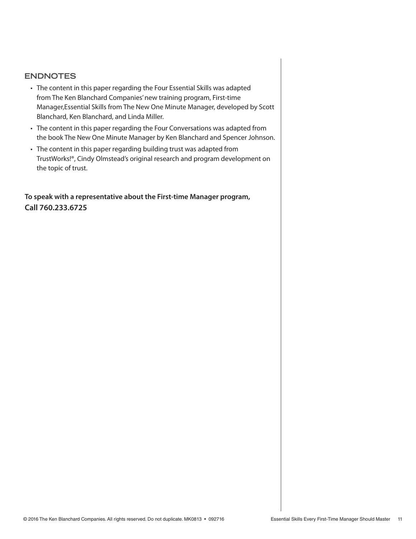#### **ENDNOTES**

- The content in this paper regarding the Four Essential Skills was adapted from The Ken Blanchard Companies' new training program, First-time Manager,Essential Skills from The New One Minute Manager, developed by Scott Blanchard, Ken Blanchard, and Linda Miller.
- The content in this paper regarding the Four Conversations was adapted from the book The New One Minute Manager by Ken Blanchard and Spencer Johnson.
- The content in this paper regarding building trust was adapted from TrustWorks!®, Cindy Olmstead's original research and program development on the topic of trust.

**To speak with a representative about the First-time Manager program, Call 760.233.6725**